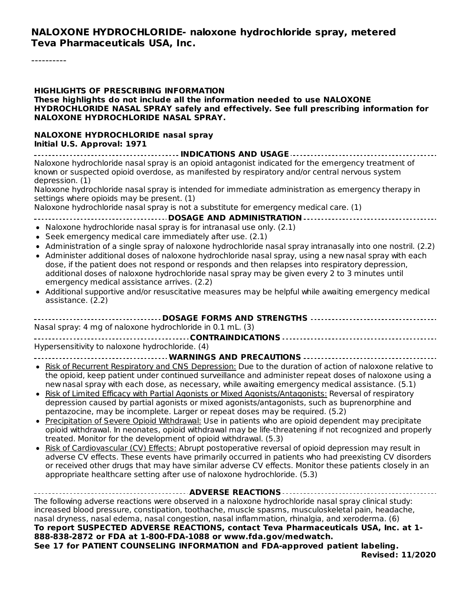## **NALOXONE HYDROCHLORIDE- naloxone hydrochloride spray, metered Teva Pharmaceuticals USA, Inc.**

----------

| <b>HIGHLIGHTS OF PRESCRIBING INFORMATION</b><br>These highlights do not include all the information needed to use NALOXONE<br>HYDROCHLORIDE NASAL SPRAY safely and effectively. See full prescribing information for<br>NALOXONE HYDROCHLORIDE NASAL SPRAY.                                                                                                                                                                                                                                                                                                                                                                                                                                                                                                                                                                                                                                                                                                                                                                                                                                                                                                                                                                                                                                                                                                                |
|----------------------------------------------------------------------------------------------------------------------------------------------------------------------------------------------------------------------------------------------------------------------------------------------------------------------------------------------------------------------------------------------------------------------------------------------------------------------------------------------------------------------------------------------------------------------------------------------------------------------------------------------------------------------------------------------------------------------------------------------------------------------------------------------------------------------------------------------------------------------------------------------------------------------------------------------------------------------------------------------------------------------------------------------------------------------------------------------------------------------------------------------------------------------------------------------------------------------------------------------------------------------------------------------------------------------------------------------------------------------------|
| <b>NALOXONE HYDROCHLORIDE nasal spray</b><br>Initial U.S. Approval: 1971                                                                                                                                                                                                                                                                                                                                                                                                                                                                                                                                                                                                                                                                                                                                                                                                                                                                                                                                                                                                                                                                                                                                                                                                                                                                                                   |
| Naloxone hydrochloride nasal spray is an opioid antagonist indicated for the emergency treatment of<br>known or suspected opioid overdose, as manifested by respiratory and/or central nervous system<br>depression. (1)<br>Naloxone hydrochloride nasal spray is intended for immediate administration as emergency therapy in<br>settings where opioids may be present. (1)<br>Naloxone hydrochloride nasal spray is not a substitute for emergency medical care. (1)<br>----------------------------------- DOSAGE AND ADMINISTRATION --------------------------------                                                                                                                                                                                                                                                                                                                                                                                                                                                                                                                                                                                                                                                                                                                                                                                                  |
| • Naloxone hydrochloride nasal spray is for intranasal use only. (2.1)<br>• Seek emergency medical care immediately after use. (2.1)<br>• Administration of a single spray of naloxone hydrochloride nasal spray intranasally into one nostril. (2.2)<br>• Administer additional doses of naloxone hydrochloride nasal spray, using a new nasal spray with each<br>dose, if the patient does not respond or responds and then relapses into respiratory depression,<br>additional doses of naloxone hydrochloride nasal spray may be given every 2 to 3 minutes until<br>emergency medical assistance arrives. (2.2)<br>• Additional supportive and/or resuscitative measures may be helpful while awaiting emergency medical<br>assistance. (2.2)                                                                                                                                                                                                                                                                                                                                                                                                                                                                                                                                                                                                                         |
| Nasal spray: 4 mg of naloxone hydrochloride in 0.1 mL. (3)<br>Hypersensitivity to naloxone hydrochloride. (4)                                                                                                                                                                                                                                                                                                                                                                                                                                                                                                                                                                                                                                                                                                                                                                                                                                                                                                                                                                                                                                                                                                                                                                                                                                                              |
| --------- WARNINGS AND PRECAUTIONS -----------<br>. Risk of Recurrent Respiratory and CNS Depression: Due to the duration of action of naloxone relative to<br>the opioid, keep patient under continued surveillance and administer repeat doses of naloxone using a<br>new nasal spray with each dose, as necessary, while awaiting emergency medical assistance. (5.1)<br>. Risk of Limited Efficacy with Partial Agonists or Mixed Agonists/Antagonists: Reversal of respiratory<br>depression caused by partial agonists or mixed agonists/antagonists, such as buprenorphine and<br>pentazocine, may be incomplete. Larger or repeat doses may be required. (5.2)<br>• Precipitation of Severe Opioid Withdrawal: Use in patients who are opioid dependent may precipitate<br>opioid withdrawal. In neonates, opioid withdrawal may be life-threatening if not recognized and properly<br>treated. Monitor for the development of opioid withdrawal. (5.3)<br>. Risk of Cardiovascular (CV) Effects: Abrupt postoperative reversal of opioid depression may result in<br>adverse CV effects. These events have primarily occurred in patients who had preexisting CV disorders<br>or received other drugs that may have similar adverse CV effects. Monitor these patients closely in an<br>appropriate healthcare setting after use of naloxone hydrochloride. (5.3) |
| ----------------------------------- ADVERSE REACTIONS --------------------------<br>The following adverse reactions were observed in a naloxone hydrochloride nasal spray clinical study:<br>increased blood pressure, constipation, toothache, muscle spasms, musculoskeletal pain, headache,<br>nasal dryness, nasal edema, nasal congestion, nasal inflammation, rhinalgia, and xeroderma. (6)<br>To report SUSPECTED ADVERSE REACTIONS, contact Teva Pharmaceuticals USA, Inc. at 1-<br>888-838-2872 or FDA at 1-800-FDA-1088 or www.fda.gov/medwatch.<br>See 17 for PATIENT COUNSELING INFORMATION and FDA-approved patient labeling.<br><b>Revised: 11/2020</b>                                                                                                                                                                                                                                                                                                                                                                                                                                                                                                                                                                                                                                                                                                      |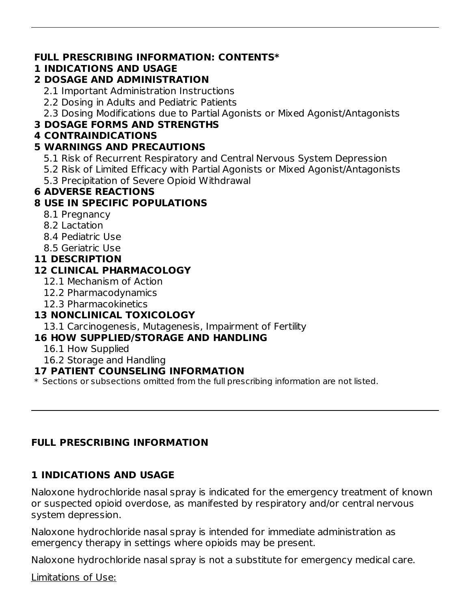#### **FULL PRESCRIBING INFORMATION: CONTENTS\***

## **1 INDICATIONS AND USAGE**

## **2 DOSAGE AND ADMINISTRATION**

- 2.1 Important Administration Instructions
- 2.2 Dosing in Adults and Pediatric Patients
- 2.3 Dosing Modifications due to Partial Agonists or Mixed Agonist/Antagonists

## **3 DOSAGE FORMS AND STRENGTHS**

### **4 CONTRAINDICATIONS**

### **5 WARNINGS AND PRECAUTIONS**

- 5.1 Risk of Recurrent Respiratory and Central Nervous System Depression
- 5.2 Risk of Limited Efficacy with Partial Agonists or Mixed Agonist/Antagonists
- 5.3 Precipitation of Severe Opioid Withdrawal

## **6 ADVERSE REACTIONS**

## **8 USE IN SPECIFIC POPULATIONS**

- 8.1 Pregnancy
- 8.2 Lactation
- 8.4 Pediatric Use
- 8.5 Geriatric Use

#### **11 DESCRIPTION**

## **12 CLINICAL PHARMACOLOGY**

- 12.1 Mechanism of Action
- 12.2 Pharmacodynamics
- 12.3 Pharmacokinetics

## **13 NONCLINICAL TOXICOLOGY**

13.1 Carcinogenesis, Mutagenesis, Impairment of Fertility

## **16 HOW SUPPLIED/STORAGE AND HANDLING**

- 16.1 How Supplied
- 16.2 Storage and Handling

#### **17 PATIENT COUNSELING INFORMATION**

 $\ast$  Sections or subsections omitted from the full prescribing information are not listed.

## **FULL PRESCRIBING INFORMATION**

## **1 INDICATIONS AND USAGE**

Naloxone hydrochloride nasal spray is indicated for the emergency treatment of known or suspected opioid overdose, as manifested by respiratory and/or central nervous system depression.

Naloxone hydrochloride nasal spray is intended for immediate administration as emergency therapy in settings where opioids may be present.

Naloxone hydrochloride nasal spray is not a substitute for emergency medical care.

Limitations of Use: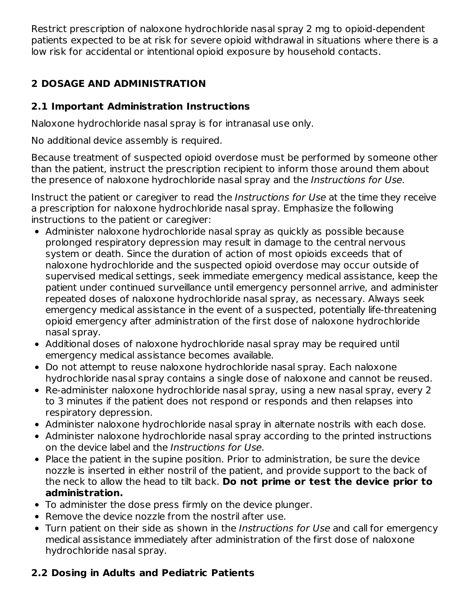Restrict prescription of naloxone hydrochloride nasal spray 2 mg to opioid-dependent patients expected to be at risk for severe opioid withdrawal in situations where there is a low risk for accidental or intentional opioid exposure by household contacts.

# **2 DOSAGE AND ADMINISTRATION**

## **2.1 Important Administration Instructions**

Naloxone hydrochloride nasal spray is for intranasal use only.

No additional device assembly is required.

Because treatment of suspected opioid overdose must be performed by someone other than the patient, instruct the prescription recipient to inform those around them about the presence of naloxone hydrochloride nasal spray and the Instructions for Use.

Instruct the patient or caregiver to read the Instructions for Use at the time they receive a prescription for naloxone hydrochloride nasal spray. Emphasize the following instructions to the patient or caregiver:

- Administer naloxone hydrochloride nasal spray as quickly as possible because prolonged respiratory depression may result in damage to the central nervous system or death. Since the duration of action of most opioids exceeds that of naloxone hydrochloride and the suspected opioid overdose may occur outside of supervised medical settings, seek immediate emergency medical assistance, keep the patient under continued surveillance until emergency personnel arrive, and administer repeated doses of naloxone hydrochloride nasal spray, as necessary. Always seek emergency medical assistance in the event of a suspected, potentially life-threatening opioid emergency after administration of the first dose of naloxone hydrochloride nasal spray.
- Additional doses of naloxone hydrochloride nasal spray may be required until emergency medical assistance becomes available.
- Do not attempt to reuse naloxone hydrochloride nasal spray. Each naloxone hydrochloride nasal spray contains a single dose of naloxone and cannot be reused.
- Re-administer naloxone hydrochloride nasal spray, using a new nasal spray, every 2 to 3 minutes if the patient does not respond or responds and then relapses into respiratory depression.
- Administer naloxone hydrochloride nasal spray in alternate nostrils with each dose.
- Administer naloxone hydrochloride nasal spray according to the printed instructions on the device label and the Instructions for Use.
- Place the patient in the supine position. Prior to administration, be sure the device nozzle is inserted in either nostril of the patient, and provide support to the back of the neck to allow the head to tilt back. **Do not prime or test the device prior to administration.**
- To administer the dose press firmly on the device plunger.
- Remove the device nozzle from the nostril after use.
- Turn patient on their side as shown in the Instructions for Use and call for emergency medical assistance immediately after administration of the first dose of naloxone hydrochloride nasal spray.

# **2.2 Dosing in Adults and Pediatric Patients**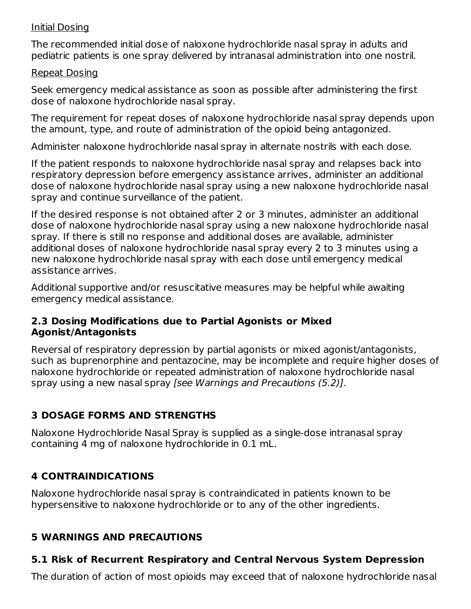#### Initial Dosing

The recommended initial dose of naloxone hydrochloride nasal spray in adults and pediatric patients is one spray delivered by intranasal administration into one nostril.

#### Repeat Dosing

Seek emergency medical assistance as soon as possible after administering the first dose of naloxone hydrochloride nasal spray.

The requirement for repeat doses of naloxone hydrochloride nasal spray depends upon the amount, type, and route of administration of the opioid being antagonized.

Administer naloxone hydrochloride nasal spray in alternate nostrils with each dose.

If the patient responds to naloxone hydrochloride nasal spray and relapses back into respiratory depression before emergency assistance arrives, administer an additional dose of naloxone hydrochloride nasal spray using a new naloxone hydrochloride nasal spray and continue surveillance of the patient.

If the desired response is not obtained after 2 or 3 minutes, administer an additional dose of naloxone hydrochloride nasal spray using a new naloxone hydrochloride nasal spray. If there is still no response and additional doses are available, administer additional doses of naloxone hydrochloride nasal spray every 2 to 3 minutes using a new naloxone hydrochloride nasal spray with each dose until emergency medical assistance arrives.

Additional supportive and/or resuscitative measures may be helpful while awaiting emergency medical assistance.

#### **2.3 Dosing Modifications due to Partial Agonists or Mixed Agonist/Antagonists**

Reversal of respiratory depression by partial agonists or mixed agonist/antagonists, such as buprenorphine and pentazocine, may be incomplete and require higher doses of naloxone hydrochloride or repeated administration of naloxone hydrochloride nasal spray using a new nasal spray [see Warnings and Precautions (5.2)].

## **3 DOSAGE FORMS AND STRENGTHS**

Naloxone Hydrochloride Nasal Spray is supplied as a single-dose intranasal spray containing 4 mg of naloxone hydrochloride in 0.1 mL.

## **4 CONTRAINDICATIONS**

Naloxone hydrochloride nasal spray is contraindicated in patients known to be hypersensitive to naloxone hydrochloride or to any of the other ingredients.

## **5 WARNINGS AND PRECAUTIONS**

## **5.1 Risk of Recurrent Respiratory and Central Nervous System Depression**

The duration of action of most opioids may exceed that of naloxone hydrochloride nasal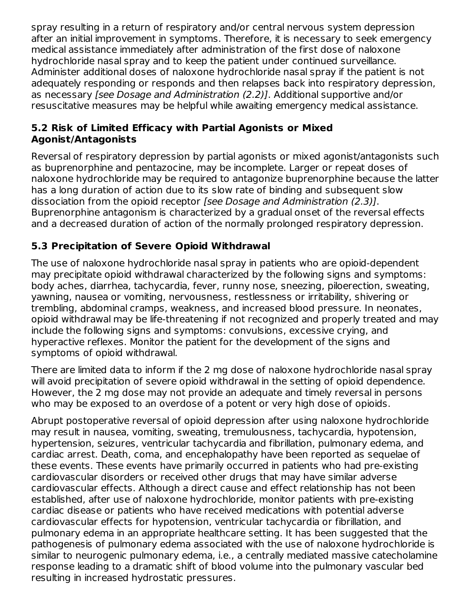spray resulting in a return of respiratory and/or central nervous system depression after an initial improvement in symptoms. Therefore, it is necessary to seek emergency medical assistance immediately after administration of the first dose of naloxone hydrochloride nasal spray and to keep the patient under continued surveillance. Administer additional doses of naloxone hydrochloride nasal spray if the patient is not adequately responding or responds and then relapses back into respiratory depression, as necessary [see Dosage and Administration (2.2)]. Additional supportive and/or resuscitative measures may be helpful while awaiting emergency medical assistance.

### **5.2 Risk of Limited Efficacy with Partial Agonists or Mixed Agonist/Antagonists**

Reversal of respiratory depression by partial agonists or mixed agonist/antagonists such as buprenorphine and pentazocine, may be incomplete. Larger or repeat doses of naloxone hydrochloride may be required to antagonize buprenorphine because the latter has a long duration of action due to its slow rate of binding and subsequent slow dissociation from the opioid receptor [see Dosage and Administration (2.3)]. Buprenorphine antagonism is characterized by a gradual onset of the reversal effects and a decreased duration of action of the normally prolonged respiratory depression.

## **5.3 Precipitation of Severe Opioid Withdrawal**

The use of naloxone hydrochloride nasal spray in patients who are opioid-dependent may precipitate opioid withdrawal characterized by the following signs and symptoms: body aches, diarrhea, tachycardia, fever, runny nose, sneezing, piloerection, sweating, yawning, nausea or vomiting, nervousness, restlessness or irritability, shivering or trembling, abdominal cramps, weakness, and increased blood pressure. In neonates, opioid withdrawal may be life-threatening if not recognized and properly treated and may include the following signs and symptoms: convulsions, excessive crying, and hyperactive reflexes. Monitor the patient for the development of the signs and symptoms of opioid withdrawal.

There are limited data to inform if the 2 mg dose of naloxone hydrochloride nasal spray will avoid precipitation of severe opioid withdrawal in the setting of opioid dependence. However, the 2 mg dose may not provide an adequate and timely reversal in persons who may be exposed to an overdose of a potent or very high dose of opioids.

Abrupt postoperative reversal of opioid depression after using naloxone hydrochloride may result in nausea, vomiting, sweating, tremulousness, tachycardia, hypotension, hypertension, seizures, ventricular tachycardia and fibrillation, pulmonary edema, and cardiac arrest. Death, coma, and encephalopathy have been reported as sequelae of these events. These events have primarily occurred in patients who had pre-existing cardiovascular disorders or received other drugs that may have similar adverse cardiovascular effects. Although a direct cause and effect relationship has not been established, after use of naloxone hydrochloride, monitor patients with pre-existing cardiac disease or patients who have received medications with potential adverse cardiovascular effects for hypotension, ventricular tachycardia or fibrillation, and pulmonary edema in an appropriate healthcare setting. It has been suggested that the pathogenesis of pulmonary edema associated with the use of naloxone hydrochloride is similar to neurogenic pulmonary edema, i.e., a centrally mediated massive catecholamine response leading to a dramatic shift of blood volume into the pulmonary vascular bed resulting in increased hydrostatic pressures.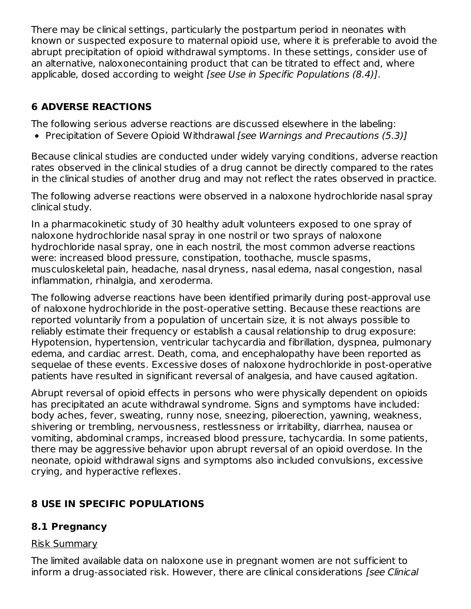There may be clinical settings, particularly the postpartum period in neonates with known or suspected exposure to maternal opioid use, where it is preferable to avoid the abrupt precipitation of opioid withdrawal symptoms. In these settings, consider use of an alternative, naloxonecontaining product that can be titrated to effect and, where applicable, dosed according to weight [see Use in Specific Populations (8.4)].

## **6 ADVERSE REACTIONS**

The following serious adverse reactions are discussed elsewhere in the labeling:

• Precipitation of Severe Opioid Withdrawal [see Warnings and Precautions (5.3)]

Because clinical studies are conducted under widely varying conditions, adverse reaction rates observed in the clinical studies of a drug cannot be directly compared to the rates in the clinical studies of another drug and may not reflect the rates observed in practice.

The following adverse reactions were observed in a naloxone hydrochloride nasal spray clinical study.

In a pharmacokinetic study of 30 healthy adult volunteers exposed to one spray of naloxone hydrochloride nasal spray in one nostril or two sprays of naloxone hydrochloride nasal spray, one in each nostril, the most common adverse reactions were: increased blood pressure, constipation, toothache, muscle spasms, musculoskeletal pain, headache, nasal dryness, nasal edema, nasal congestion, nasal inflammation, rhinalgia, and xeroderma.

The following adverse reactions have been identified primarily during post-approval use of naloxone hydrochloride in the post-operative setting. Because these reactions are reported voluntarily from a population of uncertain size, it is not always possible to reliably estimate their frequency or establish a causal relationship to drug exposure: Hypotension, hypertension, ventricular tachycardia and fibrillation, dyspnea, pulmonary edema, and cardiac arrest. Death, coma, and encephalopathy have been reported as sequelae of these events. Excessive doses of naloxone hydrochloride in post-operative patients have resulted in significant reversal of analgesia, and have caused agitation.

Abrupt reversal of opioid effects in persons who were physically dependent on opioids has precipitated an acute withdrawal syndrome. Signs and symptoms have included: body aches, fever, sweating, runny nose, sneezing, piloerection, yawning, weakness, shivering or trembling, nervousness, restlessness or irritability, diarrhea, nausea or vomiting, abdominal cramps, increased blood pressure, tachycardia. In some patients, there may be aggressive behavior upon abrupt reversal of an opioid overdose. In the neonate, opioid withdrawal signs and symptoms also included convulsions, excessive crying, and hyperactive reflexes.

## **8 USE IN SPECIFIC POPULATIONS**

## **8.1 Pregnancy**

## Risk Summary

The limited available data on naloxone use in pregnant women are not sufficient to inform a drug-associated risk. However, there are clinical considerations [see Clinical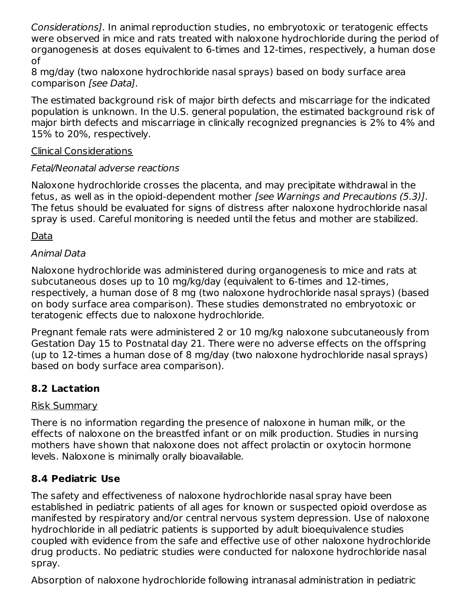Considerations]. In animal reproduction studies, no embryotoxic or teratogenic effects were observed in mice and rats treated with naloxone hydrochloride during the period of organogenesis at doses equivalent to 6-times and 12-times, respectively, a human dose of

8 mg/day (two naloxone hydrochloride nasal sprays) based on body surface area comparison [see Data].

The estimated background risk of major birth defects and miscarriage for the indicated population is unknown. In the U.S. general population, the estimated background risk of major birth defects and miscarriage in clinically recognized pregnancies is 2% to 4% and 15% to 20%, respectively.

### Clinical Considerations

## Fetal/Neonatal adverse reactions

Naloxone hydrochloride crosses the placenta, and may precipitate withdrawal in the fetus, as well as in the opioid-dependent mother [see Warnings and Precautions (5.3)]. The fetus should be evaluated for signs of distress after naloxone hydrochloride nasal spray is used. Careful monitoring is needed until the fetus and mother are stabilized.

Data

## Animal Data

Naloxone hydrochloride was administered during organogenesis to mice and rats at subcutaneous doses up to 10 mg/kg/day (equivalent to 6-times and 12-times, respectively, a human dose of 8 mg (two naloxone hydrochloride nasal sprays) (based on body surface area comparison). These studies demonstrated no embryotoxic or teratogenic effects due to naloxone hydrochloride.

Pregnant female rats were administered 2 or 10 mg/kg naloxone subcutaneously from Gestation Day 15 to Postnatal day 21. There were no adverse effects on the offspring (up to 12-times a human dose of 8 mg/day (two naloxone hydrochloride nasal sprays) based on body surface area comparison).

## **8.2 Lactation**

## Risk Summary

There is no information regarding the presence of naloxone in human milk, or the effects of naloxone on the breastfed infant or on milk production. Studies in nursing mothers have shown that naloxone does not affect prolactin or oxytocin hormone levels. Naloxone is minimally orally bioavailable.

## **8.4 Pediatric Use**

The safety and effectiveness of naloxone hydrochloride nasal spray have been established in pediatric patients of all ages for known or suspected opioid overdose as manifested by respiratory and/or central nervous system depression. Use of naloxone hydrochloride in all pediatric patients is supported by adult bioequivalence studies coupled with evidence from the safe and effective use of other naloxone hydrochloride drug products. No pediatric studies were conducted for naloxone hydrochloride nasal spray.

Absorption of naloxone hydrochloride following intranasal administration in pediatric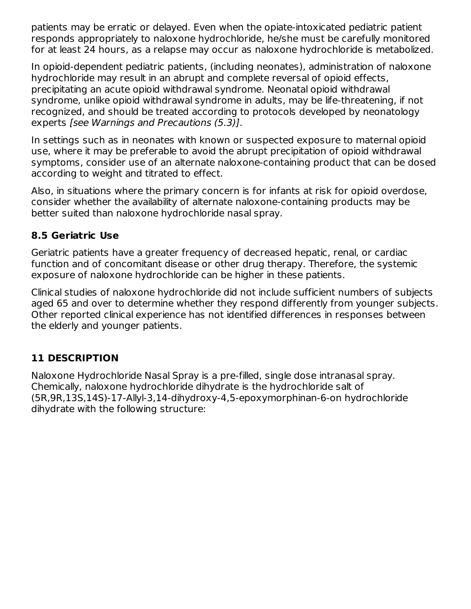patients may be erratic or delayed. Even when the opiate-intoxicated pediatric patient responds appropriately to naloxone hydrochloride, he/she must be carefully monitored for at least 24 hours, as a relapse may occur as naloxone hydrochloride is metabolized.

In opioid-dependent pediatric patients, (including neonates), administration of naloxone hydrochloride may result in an abrupt and complete reversal of opioid effects, precipitating an acute opioid withdrawal syndrome. Neonatal opioid withdrawal syndrome, unlike opioid withdrawal syndrome in adults, may be life-threatening, if not recognized, and should be treated according to protocols developed by neonatology experts [see Warnings and Precautions (5.3)].

In settings such as in neonates with known or suspected exposure to maternal opioid use, where it may be preferable to avoid the abrupt precipitation of opioid withdrawal symptoms, consider use of an alternate naloxone-containing product that can be dosed according to weight and titrated to effect.

Also, in situations where the primary concern is for infants at risk for opioid overdose, consider whether the availability of alternate naloxone-containing products may be better suited than naloxone hydrochloride nasal spray.

### **8.5 Geriatric Use**

Geriatric patients have a greater frequency of decreased hepatic, renal, or cardiac function and of concomitant disease or other drug therapy. Therefore, the systemic exposure of naloxone hydrochloride can be higher in these patients.

Clinical studies of naloxone hydrochloride did not include sufficient numbers of subjects aged 65 and over to determine whether they respond differently from younger subjects. Other reported clinical experience has not identified differences in responses between the elderly and younger patients.

## **11 DESCRIPTION**

Naloxone Hydrochloride Nasal Spray is a pre-filled, single dose intranasal spray. Chemically, naloxone hydrochloride dihydrate is the hydrochloride salt of (5R,9R,13S,14S)-17-Allyl-3,14-dihydroxy-4,5-epoxymorphinan-6-on hydrochloride dihydrate with the following structure: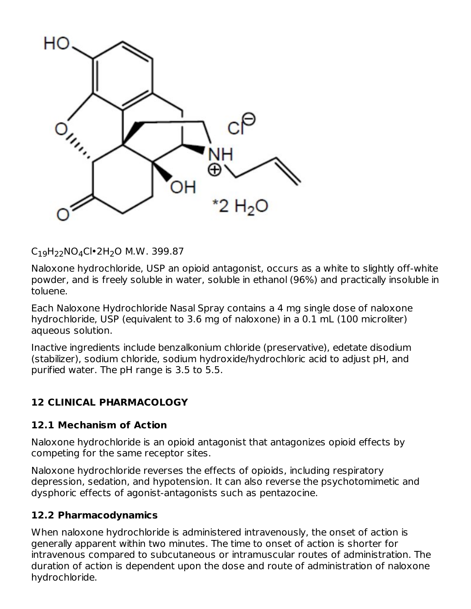

C<sub>19</sub>H<sub>22</sub>NO<sub>4</sub>Cl•2H<sub>2</sub>O M.W. 399.87

Naloxone hydrochloride, USP an opioid antagonist, occurs as a white to slightly off-white powder, and is freely soluble in water, soluble in ethanol (96%) and practically insoluble in toluene.

Each Naloxone Hydrochloride Nasal Spray contains a 4 mg single dose of naloxone hydrochloride, USP (equivalent to 3.6 mg of naloxone) in a 0.1 mL (100 microliter) aqueous solution.

Inactive ingredients include benzalkonium chloride (preservative), edetate disodium (stabilizer), sodium chloride, sodium hydroxide/hydrochloric acid to adjust pH, and purified water. The pH range is 3.5 to 5.5.

## **12 CLINICAL PHARMACOLOGY**

## **12.1 Mechanism of Action**

Naloxone hydrochloride is an opioid antagonist that antagonizes opioid effects by competing for the same receptor sites.

Naloxone hydrochloride reverses the effects of opioids, including respiratory depression, sedation, and hypotension. It can also reverse the psychotomimetic and dysphoric effects of agonist-antagonists such as pentazocine.

#### **12.2 Pharmacodynamics**

When naloxone hydrochloride is administered intravenously, the onset of action is generally apparent within two minutes. The time to onset of action is shorter for intravenous compared to subcutaneous or intramuscular routes of administration. The duration of action is dependent upon the dose and route of administration of naloxone hydrochloride.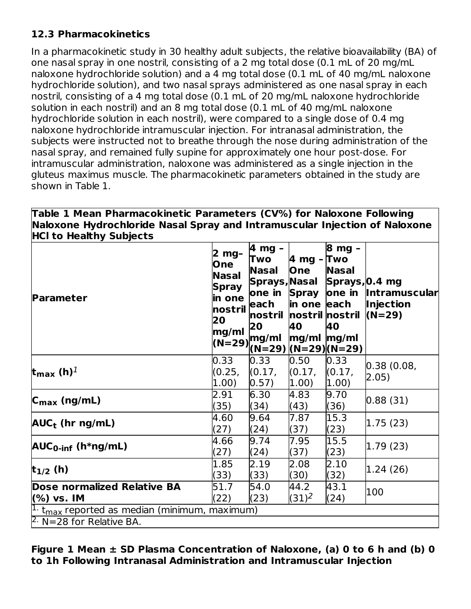## **12.3 Pharmacokinetics**

In a pharmacokinetic study in 30 healthy adult subjects, the relative bioavailability (BA) of one nasal spray in one nostril, consisting of a 2 mg total dose (0.1 mL of 20 mg/mL naloxone hydrochloride solution) and a 4 mg total dose (0.1 mL of 40 mg/mL naloxone hydrochloride solution), and two nasal sprays administered as one nasal spray in each nostril, consisting of a 4 mg total dose (0.1 mL of 20 mg/mL naloxone hydrochloride solution in each nostril) and an 8 mg total dose (0.1 mL of 40 mg/mL naloxone hydrochloride solution in each nostril), were compared to a single dose of 0.4 mg naloxone hydrochloride intramuscular injection. For intranasal administration, the subjects were instructed not to breathe through the nose during administration of the nasal spray, and remained fully supine for approximately one hour post-dose. For intramuscular administration, naloxone was administered as a single injection in the gluteus maximus muscle. The pharmacokinetic parameters obtained in the study are shown in Table 1.

**Table 1 Mean Pharmacokinetic Parameters (CV%) for Naloxone Following Naloxone Hydrochloride Nasal Spray and Intramuscular Injection of Naloxone HCl to Healthy Subjects**

| <b>Parameter</b>                                                                              | 2 mg-<br>One<br>Nasal<br><b>Spray</b><br>in one<br>nostril each<br>20<br>mg/ml | 4 mg -<br>Two<br><b>Nasal</b><br> Sprays, Nasal<br>one in Spray<br> nostril  nostril nostril  (N=29)<br>20<br>$(N=29)$ <sub>r</sub> mg/ml<br>(N=29) (N=29) (N=29) | 4 mg - Two<br><b>One</b><br>in one each<br>40<br>$mg/ml$ $mg/ml$ | 8 mg -<br><b>Nasal</b><br>Sprays, 0.4 mg<br>one in<br>40 | <b>Intramuscular</b><br><b>Injection</b> |  |  |  |
|-----------------------------------------------------------------------------------------------|--------------------------------------------------------------------------------|-------------------------------------------------------------------------------------------------------------------------------------------------------------------|------------------------------------------------------------------|----------------------------------------------------------|------------------------------------------|--|--|--|
| t <sub>max</sub> (h) <sup>1</sup>                                                             | 0.33<br>(0.25,<br>1.00)                                                        | 0.33<br>(0.17,<br>0.57)                                                                                                                                           | 0.50<br>(0.17,<br>(1.00)                                         | 0.33<br>(0.17,<br>$ 1.00\rangle$                         | 0.38(0.08) <br>2.05)                     |  |  |  |
| $C_{\text{max}}$ (ng/mL)                                                                      | 2.91<br>(35)                                                                   | 6.30<br>(34)                                                                                                                                                      | 4.83<br>(43)                                                     | 9.70<br>(36)                                             | 0.88(31)                                 |  |  |  |
| $AUC_t$ (hr ng/mL)                                                                            | 4.60<br>(27)                                                                   | 9.64<br>(24)                                                                                                                                                      | 7.87<br>(37)                                                     | 15.3<br>(23)                                             | 1.75(23)                                 |  |  |  |
| $AUC0-int$ (h*ng/mL)                                                                          | 4.66<br>(27)                                                                   | 9.74<br>(24)                                                                                                                                                      | 7.95<br>(37)                                                     | 15.5<br>(23)                                             | 1.79(23)                                 |  |  |  |
| $t_{1/2}$ (h)                                                                                 | 1.85<br>(33)                                                                   | 2.19<br>(33)                                                                                                                                                      | 2.08<br>(30)                                                     | 2.10<br>(32)                                             | 1.24(26)                                 |  |  |  |
| Dose normalized Relative BA<br>(%) vs. IM                                                     | 51.7<br>(22)                                                                   | 54.0<br>(23)                                                                                                                                                      | 44.2<br>$(31)^2$                                                 | 43.1<br>(24)                                             | 100                                      |  |  |  |
| $ ^1$ t <sub>max</sub> reported as median (minimum, maximum)<br>$\beta$ N=28 for Relative BA. |                                                                                |                                                                                                                                                                   |                                                                  |                                                          |                                          |  |  |  |

**Figure 1 Mean ± SD Plasma Concentration of Naloxone, (a) 0 to 6 h and (b) 0 to 1h Following Intranasal Administration and Intramuscular Injection**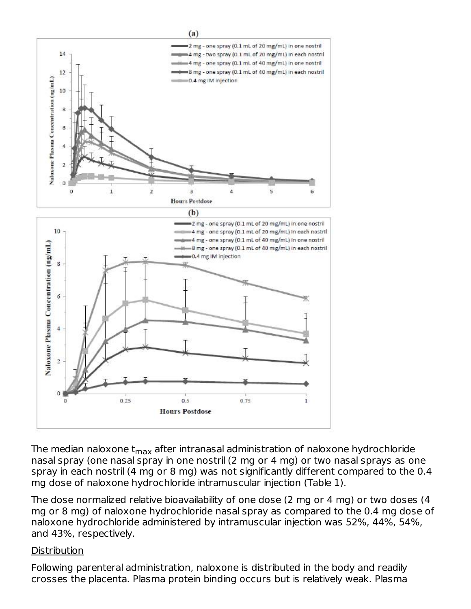

The median naloxone t<sub>max</sub> after intranasal administration of naloxone hydrochloride nasal spray (one nasal spray in one nostril (2 mg or 4 mg) or two nasal sprays as one spray in each nostril (4 mg or 8 mg) was not significantly different compared to the 0.4 mg dose of naloxone hydrochloride intramuscular injection (Table 1).

The dose normalized relative bioavailability of one dose (2 mg or 4 mg) or two doses (4 mg or 8 mg) of naloxone hydrochloride nasal spray as compared to the 0.4 mg dose of naloxone hydrochloride administered by intramuscular injection was 52%, 44%, 54%, and 43%, respectively.

#### **Distribution**

Following parenteral administration, naloxone is distributed in the body and readily crosses the placenta. Plasma protein binding occurs but is relatively weak. Plasma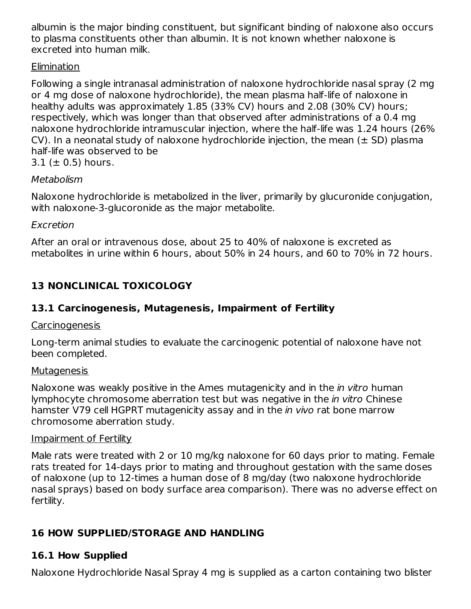albumin is the major binding constituent, but significant binding of naloxone also occurs to plasma constituents other than albumin. It is not known whether naloxone is excreted into human milk.

### Elimination

Following a single intranasal administration of naloxone hydrochloride nasal spray (2 mg or 4 mg dose of naloxone hydrochloride), the mean plasma half-life of naloxone in healthy adults was approximately 1.85 (33% CV) hours and 2.08 (30% CV) hours; respectively, which was longer than that observed after administrations of a 0.4 mg naloxone hydrochloride intramuscular injection, where the half-life was 1.24 hours (26% CV). In a neonatal study of naloxone hydrochloride injection, the mean  $(\pm$  SD) plasma half-life was observed to be  $3.1$  ( $\pm$  0.5) hours.

#### Metabolism

Naloxone hydrochloride is metabolized in the liver, primarily by glucuronide conjugation, with naloxone-3-glucoronide as the major metabolite.

### Excretion

After an oral or intravenous dose, about 25 to 40% of naloxone is excreted as metabolites in urine within 6 hours, about 50% in 24 hours, and 60 to 70% in 72 hours.

## **13 NONCLINICAL TOXICOLOGY**

## **13.1 Carcinogenesis, Mutagenesis, Impairment of Fertility**

## **Carcinogenesis**

Long-term animal studies to evaluate the carcinogenic potential of naloxone have not been completed.

## Mutagenesis

Naloxone was weakly positive in the Ames mutagenicity and in the *in vitro* human lymphocyte chromosome aberration test but was negative in the in vitro Chinese hamster V79 cell HGPRT mutagenicity assay and in the *in vivo* rat bone marrow chromosome aberration study.

#### Impairment of Fertility

Male rats were treated with 2 or 10 mg/kg naloxone for 60 days prior to mating. Female rats treated for 14-days prior to mating and throughout gestation with the same doses of naloxone (up to 12-times a human dose of 8 mg/day (two naloxone hydrochloride nasal sprays) based on body surface area comparison). There was no adverse effect on fertility.

## **16 HOW SUPPLIED/STORAGE AND HANDLING**

## **16.1 How Supplied**

Naloxone Hydrochloride Nasal Spray 4 mg is supplied as a carton containing two blister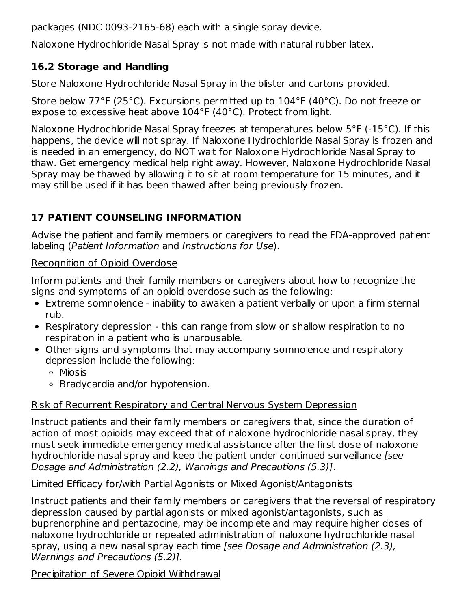packages (NDC 0093-2165-68) each with a single spray device.

Naloxone Hydrochloride Nasal Spray is not made with natural rubber latex.

## **16.2 Storage and Handling**

Store Naloxone Hydrochloride Nasal Spray in the blister and cartons provided.

Store below 77°F (25°C). Excursions permitted up to 104°F (40°C). Do not freeze or expose to excessive heat above 104°F (40°C). Protect from light.

Naloxone Hydrochloride Nasal Spray freezes at temperatures below 5°F (-15°C). If this happens, the device will not spray. If Naloxone Hydrochloride Nasal Spray is frozen and is needed in an emergency, do NOT wait for Naloxone Hydrochloride Nasal Spray to thaw. Get emergency medical help right away. However, Naloxone Hydrochloride Nasal Spray may be thawed by allowing it to sit at room temperature for 15 minutes, and it may still be used if it has been thawed after being previously frozen.

## **17 PATIENT COUNSELING INFORMATION**

Advise the patient and family members or caregivers to read the FDA-approved patient labeling (Patient Information and Instructions for Use).

### Recognition of Opioid Overdose

Inform patients and their family members or caregivers about how to recognize the signs and symptoms of an opioid overdose such as the following:

- Extreme somnolence inability to awaken a patient verbally or upon a firm sternal rub.
- Respiratory depression this can range from slow or shallow respiration to no respiration in a patient who is unarousable.
- Other signs and symptoms that may accompany somnolence and respiratory depression include the following:
	- Miosis
	- Bradycardia and/or hypotension.

## Risk of Recurrent Respiratory and Central Nervous System Depression

Instruct patients and their family members or caregivers that, since the duration of action of most opioids may exceed that of naloxone hydrochloride nasal spray, they must seek immediate emergency medical assistance after the first dose of naloxone hydrochloride nasal spray and keep the patient under continued surveillance [see Dosage and Administration (2.2), Warnings and Precautions (5.3)].

## Limited Efficacy for/with Partial Agonists or Mixed Agonist/Antagonists

Instruct patients and their family members or caregivers that the reversal of respiratory depression caused by partial agonists or mixed agonist/antagonists, such as buprenorphine and pentazocine, may be incomplete and may require higher doses of naloxone hydrochloride or repeated administration of naloxone hydrochloride nasal spray, using a new nasal spray each time [see Dosage and Administration (2.3), Warnings and Precautions (5.2)].

## Precipitation of Severe Opioid Withdrawal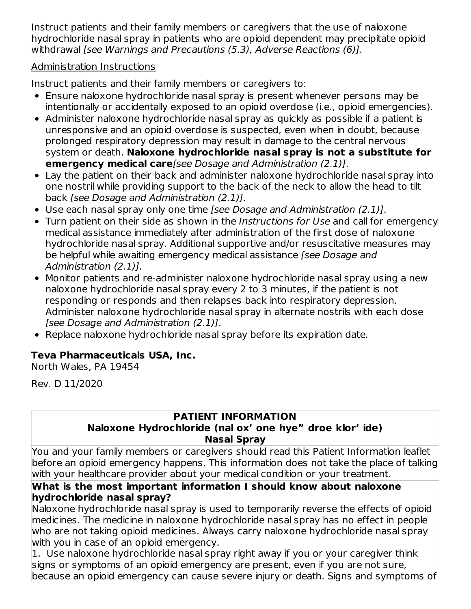Instruct patients and their family members or caregivers that the use of naloxone hydrochloride nasal spray in patients who are opioid dependent may precipitate opioid withdrawal [see Warnings and Precautions (5.3), Adverse Reactions (6)].

### Administration Instructions

Instruct patients and their family members or caregivers to:

- Ensure naloxone hydrochloride nasal spray is present whenever persons may be intentionally or accidentally exposed to an opioid overdose (i.e., opioid emergencies).
- Administer naloxone hydrochloride nasal spray as quickly as possible if a patient is unresponsive and an opioid overdose is suspected, even when in doubt, because prolonged respiratory depression may result in damage to the central nervous system or death. **Naloxone hydrochloride nasal spray is not a substitute for emergency medical care**[see Dosage and Administration (2.1)].
- Lay the patient on their back and administer naloxone hydrochloride nasal spray into one nostril while providing support to the back of the neck to allow the head to tilt back [see Dosage and Administration (2.1)].
- Use each nasal spray only one time [see Dosage and Administration (2.1)].
- Turn patient on their side as shown in the *Instructions for Use* and call for emergency medical assistance immediately after administration of the first dose of naloxone hydrochloride nasal spray. Additional supportive and/or resuscitative measures may be helpful while awaiting emergency medical assistance [see Dosage and Administration (2.1)].
- Monitor patients and re-administer naloxone hydrochloride nasal spray using a new naloxone hydrochloride nasal spray every 2 to 3 minutes, if the patient is not responding or responds and then relapses back into respiratory depression. Administer naloxone hydrochloride nasal spray in alternate nostrils with each dose [see Dosage and Administration (2.1)].
- Replace naloxone hydrochloride nasal spray before its expiration date.

# **Teva Pharmaceuticals USA, Inc.**

North Wales, PA 19454

Rev. D 11/2020

# **PATIENT INFORMATION**

## **Naloxone Hydrochloride (nal ox' one hye" droe klor' ide) Nasal Spray**

You and your family members or caregivers should read this Patient Information leaflet before an opioid emergency happens. This information does not take the place of talking with your healthcare provider about your medical condition or your treatment.

## **What is the most important information I should know about naloxone hydrochloride nasal spray?**

Naloxone hydrochloride nasal spray is used to temporarily reverse the effects of opioid medicines. The medicine in naloxone hydrochloride nasal spray has no effect in people who are not taking opioid medicines. Always carry naloxone hydrochloride nasal spray with you in case of an opioid emergency.

1. Use naloxone hydrochloride nasal spray right away if you or your caregiver think signs or symptoms of an opioid emergency are present, even if you are not sure, because an opioid emergency can cause severe injury or death. Signs and symptoms of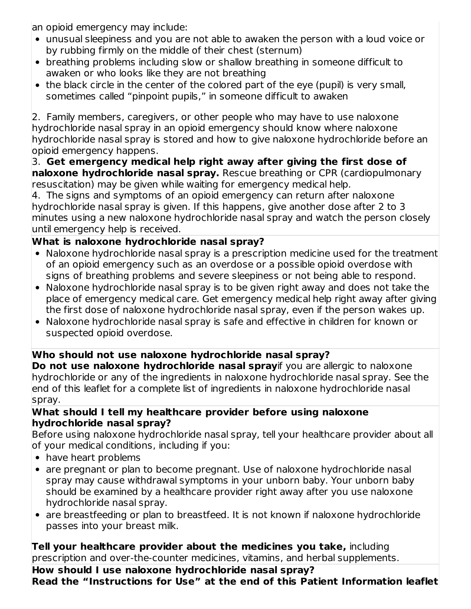an opioid emergency may include:

- unusual sleepiness and you are not able to awaken the person with a loud voice or by rubbing firmly on the middle of their chest (sternum)
- breathing problems including slow or shallow breathing in someone difficult to awaken or who looks like they are not breathing
- the black circle in the center of the colored part of the eye (pupil) is very small, sometimes called "pinpoint pupils," in someone difficult to awaken

2. Family members, caregivers, or other people who may have to use naloxone hydrochloride nasal spray in an opioid emergency should know where naloxone hydrochloride nasal spray is stored and how to give naloxone hydrochloride before an opioid emergency happens.

3. **Get emergency medical help right away after giving the first dose of naloxone hydrochloride nasal spray.** Rescue breathing or CPR (cardiopulmonary resuscitation) may be given while waiting for emergency medical help.

4. The signs and symptoms of an opioid emergency can return after naloxone hydrochloride nasal spray is given. If this happens, give another dose after 2 to 3 minutes using a new naloxone hydrochloride nasal spray and watch the person closely until emergency help is received.

## **What is naloxone hydrochloride nasal spray?**

- Naloxone hydrochloride nasal spray is a prescription medicine used for the treatment of an opioid emergency such as an overdose or a possible opioid overdose with signs of breathing problems and severe sleepiness or not being able to respond.
- Naloxone hydrochloride nasal spray is to be given right away and does not take the place of emergency medical care. Get emergency medical help right away after giving the first dose of naloxone hydrochloride nasal spray, even if the person wakes up.
- Naloxone hydrochloride nasal spray is safe and effective in children for known or suspected opioid overdose.

## **Who should not use naloxone hydrochloride nasal spray?**

**Do not use naloxone hydrochloride nasal spray**if you are allergic to naloxone hydrochloride or any of the ingredients in naloxone hydrochloride nasal spray. See the end of this leaflet for a complete list of ingredients in naloxone hydrochloride nasal spray.

#### **What should I tell my healthcare provider before using naloxone hydrochloride nasal spray?**

Before using naloxone hydrochloride nasal spray, tell your healthcare provider about all of your medical conditions, including if you:

- have heart problems
- are pregnant or plan to become pregnant. Use of naloxone hydrochloride nasal spray may cause withdrawal symptoms in your unborn baby. Your unborn baby should be examined by a healthcare provider right away after you use naloxone hydrochloride nasal spray.
- are breastfeeding or plan to breastfeed. It is not known if naloxone hydrochloride passes into your breast milk.

**Tell your healthcare provider about the medicines you take,** including prescription and over-the-counter medicines, vitamins, and herbal supplements.

**How should I use naloxone hydrochloride nasal spray? Read the "Instructions for Use" at the end of this Patient Information leaflet**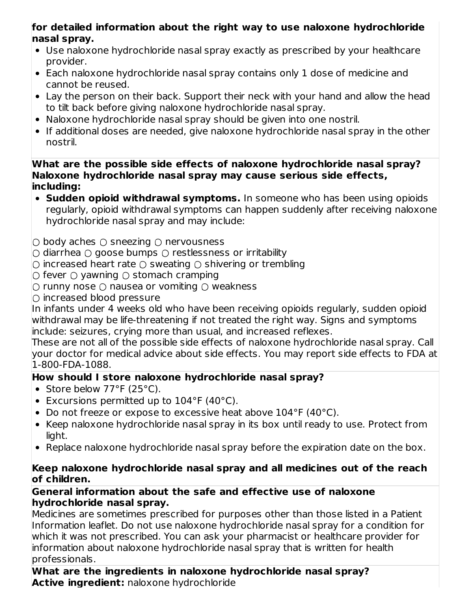## **for detailed information about the right way to use naloxone hydrochloride nasal spray.**

- Use naloxone hydrochloride nasal spray exactly as prescribed by your healthcare provider.
- Each naloxone hydrochloride nasal spray contains only 1 dose of medicine and cannot be reused.
- Lay the person on their back. Support their neck with your hand and allow the head to tilt back before giving naloxone hydrochloride nasal spray.
- Naloxone hydrochloride nasal spray should be given into one nostril.
- If additional doses are needed, give naloxone hydrochloride nasal spray in the other nostril.

#### **What are the possible side effects of naloxone hydrochloride nasal spray? Naloxone hydrochloride nasal spray may cause serious side effects, including:**

- **Sudden opioid withdrawal symptoms.** In someone who has been using opioids regularly, opioid withdrawal symptoms can happen suddenly after receiving naloxone hydrochloride nasal spray and may include:
- body aches sneezing nervousness
- diarrhea goose bumps restlessness or irritability
- $\circ$  increased heart rate  $\circ$  sweating  $\circ$  shivering or trembling
- $\cap$  fever  $\cap$  vawning  $\cap$  stomach cramping
- $\bigcirc$  runny nose  $\bigcirc$  nausea or vomiting  $\bigcirc$  weakness
- $\cap$  increased blood pressure

In infants under 4 weeks old who have been receiving opioids regularly, sudden opioid withdrawal may be life-threatening if not treated the right way. Signs and symptoms include: seizures, crying more than usual, and increased reflexes.

These are not all of the possible side effects of naloxone hydrochloride nasal spray. Call your doctor for medical advice about side effects. You may report side effects to FDA at 1-800-FDA-1088.

## **How should I store naloxone hydrochloride nasal spray?**

- Store below 77°F (25°C).
- Excursions permitted up to 104°F (40°C).
- Do not freeze or expose to excessive heat above 104°F (40°C).
- Keep naloxone hydrochloride nasal spray in its box until ready to use. Protect from light.
- Replace naloxone hydrochloride nasal spray before the expiration date on the box.

### **Keep naloxone hydrochloride nasal spray and all medicines out of the reach of children.**

#### **General information about the safe and effective use of naloxone hydrochloride nasal spray.**

Medicines are sometimes prescribed for purposes other than those listed in a Patient Information leaflet. Do not use naloxone hydrochloride nasal spray for a condition for which it was not prescribed. You can ask your pharmacist or healthcare provider for information about naloxone hydrochloride nasal spray that is written for health professionals.

**What are the ingredients in naloxone hydrochloride nasal spray? Active ingredient:** naloxone hydrochloride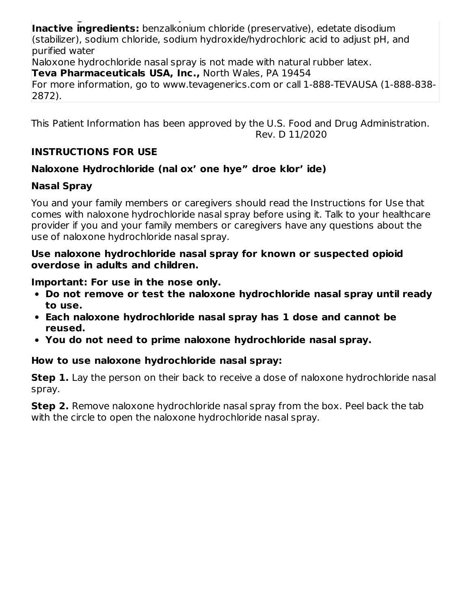**Active ingredient:** naloxone hydrochloride **Inactive ingredients:** benzalkonium chloride (preservative), edetate disodium (stabilizer), sodium chloride, sodium hydroxide/hydrochloric acid to adjust pH, and purified water

Naloxone hydrochloride nasal spray is not made with natural rubber latex.

**Teva Pharmaceuticals USA, Inc.,** North Wales, PA 19454

For more information, go to www.tevagenerics.com or call 1-888-TEVAUSA (1-888-838- 2872).

This Patient Information has been approved by the U.S. Food and Drug Administration. Rev. D 11/2020

## **INSTRUCTIONS FOR USE**

## **Naloxone Hydrochloride (nal ox' one hye" droe klor' ide)**

## **Nasal Spray**

You and your family members or caregivers should read the Instructions for Use that comes with naloxone hydrochloride nasal spray before using it. Talk to your healthcare provider if you and your family members or caregivers have any questions about the use of naloxone hydrochloride nasal spray.

#### **Use naloxone hydrochloride nasal spray for known or suspected opioid overdose in adults and children.**

**Important: For use in the nose only.**

- **Do not remove or test the naloxone hydrochloride nasal spray until ready to use.**
- **Each naloxone hydrochloride nasal spray has 1 dose and cannot be reused.**
- **You do not need to prime naloxone hydrochloride nasal spray.**

## **How to use naloxone hydrochloride nasal spray:**

**Step 1.** Lay the person on their back to receive a dose of naloxone hydrochloride nasal spray.

**Step 2.** Remove naloxone hydrochloride nasal spray from the box. Peel back the tab with the circle to open the naloxone hydrochloride nasal spray.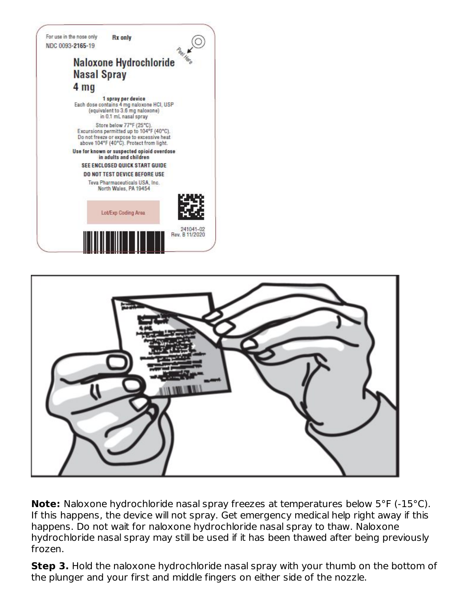



**Note:** Naloxone hydrochloride nasal spray freezes at temperatures below 5°F (-15°C). If this happens, the device will not spray. Get emergency medical help right away if this happens. Do not wait for naloxone hydrochloride nasal spray to thaw. Naloxone hydrochloride nasal spray may still be used if it has been thawed after being previously frozen.

**Step 3.** Hold the naloxone hydrochloride nasal spray with your thumb on the bottom of the plunger and your first and middle fingers on either side of the nozzle.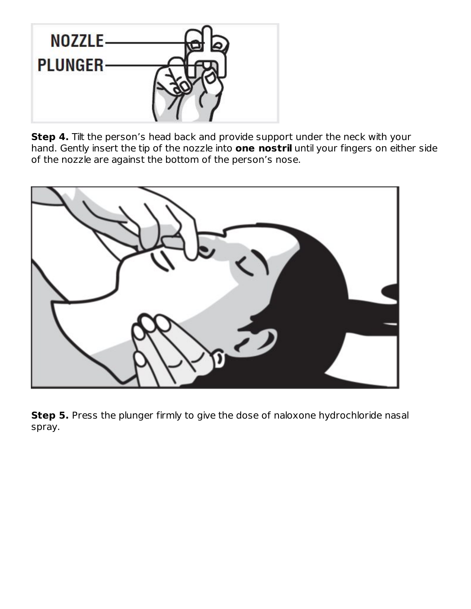

**Step 4.** Tilt the person's head back and provide support under the neck with your hand. Gently insert the tip of the nozzle into **one nostril** until your fingers on either side of the nozzle are against the bottom of the person's nose.



**Step 5.** Press the plunger firmly to give the dose of naloxone hydrochloride nasal spray.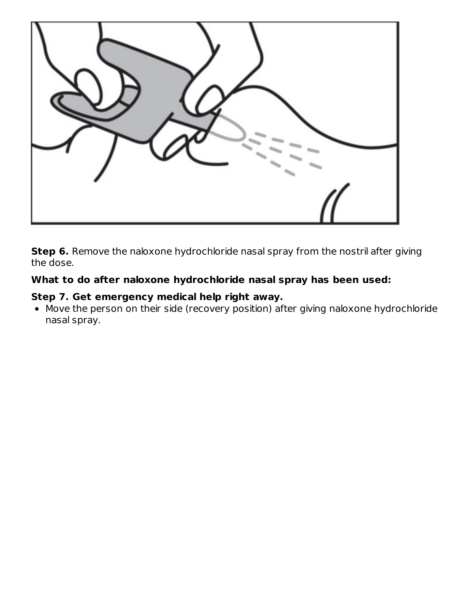

**Step 6.** Remove the naloxone hydrochloride nasal spray from the nostril after giving the dose.

### **What to do after naloxone hydrochloride nasal spray has been used:**

#### **Step 7. Get emergency medical help right away.**

Move the person on their side (recovery position) after giving naloxone hydrochloride nasal spray.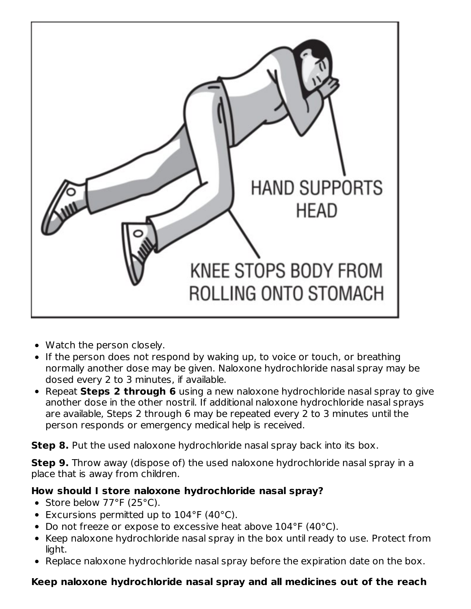

- Watch the person closely.
- If the person does not respond by waking up, to voice or touch, or breathing normally another dose may be given. Naloxone hydrochloride nasal spray may be dosed every 2 to 3 minutes, if available.
- Repeat **Steps 2 through 6** using a new naloxone hydrochloride nasal spray to give another dose in the other nostril. If additional naloxone hydrochloride nasal sprays are available, Steps 2 through 6 may be repeated every 2 to 3 minutes until the person responds or emergency medical help is received.

**Step 8.** Put the used naloxone hydrochloride nasal spray back into its box.

**Step 9.** Throw away (dispose of) the used naloxone hydrochloride nasal spray in a place that is away from children.

## **How should I store naloxone hydrochloride nasal spray?**

- Store below  $77^{\circ}F(25^{\circ}C)$ .
- Excursions permitted up to 104°F (40°C).
- Do not freeze or expose to excessive heat above 104°F (40°C).
- Keep naloxone hydrochloride nasal spray in the box until ready to use. Protect from light.
- Replace naloxone hydrochloride nasal spray before the expiration date on the box.

## **Keep naloxone hydrochloride nasal spray and all medicines out of the reach**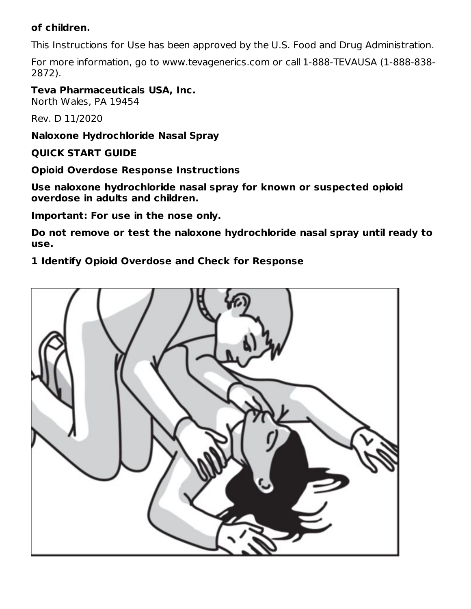#### **of children.**

This Instructions for Use has been approved by the U.S. Food and Drug Administration.

For more information, go to www.tevagenerics.com or call 1-888-TEVAUSA (1-888-838- 2872).

**Teva Pharmaceuticals USA, Inc.**

North Wales, PA 19454

Rev. D 11/2020

**Naloxone Hydrochloride Nasal Spray**

#### **QUICK START GUIDE**

**Opioid Overdose Response Instructions**

**Use naloxone hydrochloride nasal spray for known or suspected opioid overdose in adults and children.**

**Important: For use in the nose only.**

**Do not remove or test the naloxone hydrochloride nasal spray until ready to use.**

**1 Identify Opioid Overdose and Check for Response**

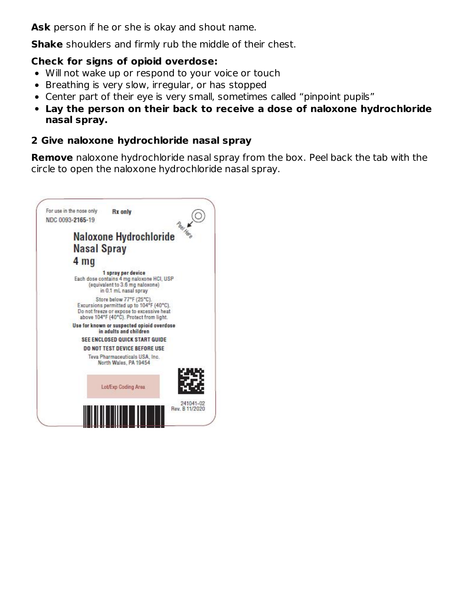**Ask** person if he or she is okay and shout name.

**Shake** shoulders and firmly rub the middle of their chest.

#### **Check for signs of opioid overdose:**

- Will not wake up or respond to your voice or touch
- Breathing is very slow, irregular, or has stopped
- Center part of their eye is very small, sometimes called "pinpoint pupils"
- **Lay the person on their back to receive a dose of naloxone hydrochloride nasal spray.**

### **2 Give naloxone hydrochloride nasal spray**

**Remove** naloxone hydrochloride nasal spray from the box. Peel back the tab with the circle to open the naloxone hydrochloride nasal spray.

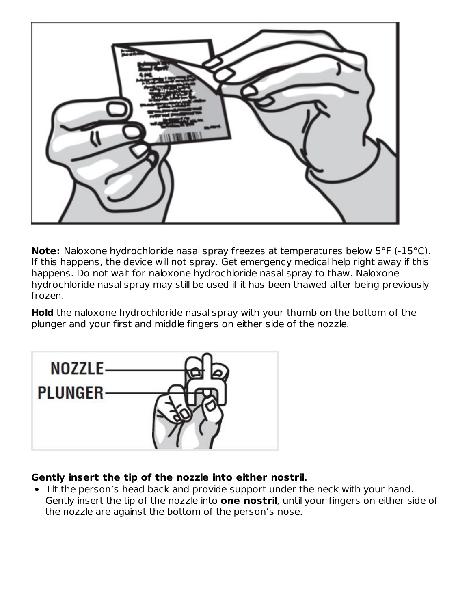

**Note:** Naloxone hydrochloride nasal spray freezes at temperatures below 5°F (-15°C). If this happens, the device will not spray. Get emergency medical help right away if this happens. Do not wait for naloxone hydrochloride nasal spray to thaw. Naloxone hydrochloride nasal spray may still be used if it has been thawed after being previously frozen.

**Hold** the naloxone hydrochloride nasal spray with your thumb on the bottom of the plunger and your first and middle fingers on either side of the nozzle.



## **Gently insert the tip of the nozzle into either nostril.**

Tilt the person's head back and provide support under the neck with your hand. Gently insert the tip of the nozzle into **one nostril**, until your fingers on either side of the nozzle are against the bottom of the person's nose.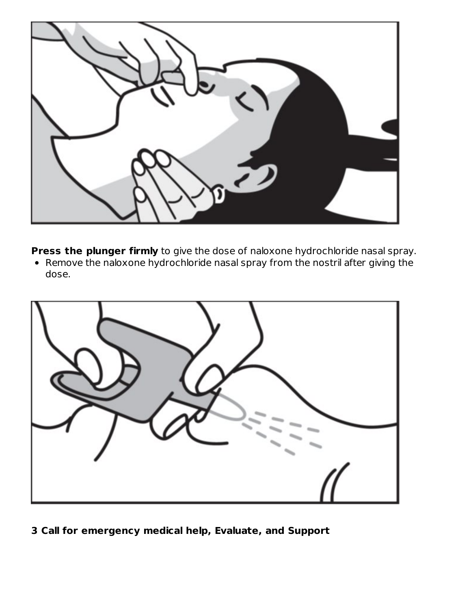

**Press the plunger firmly** to give the dose of naloxone hydrochloride nasal spray.

Remove the naloxone hydrochloride nasal spray from the nostril after giving the dose.



**3 Call for emergency medical help, Evaluate, and Support**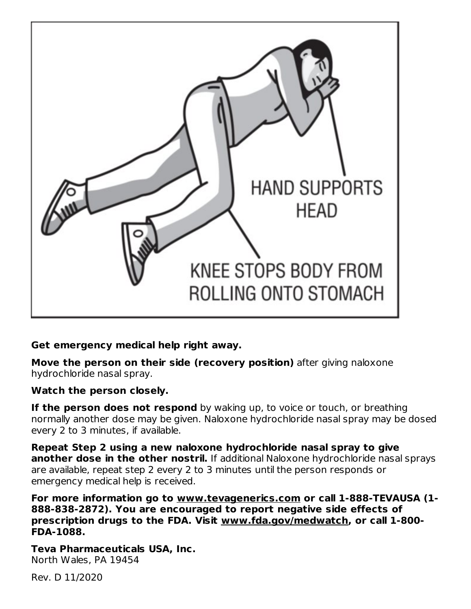

## **Get emergency medical help right away.**

**Move the person on their side (recovery position)** after giving naloxone hydrochloride nasal spray.

## **Watch the person closely.**

**If the person does not respond** by waking up, to voice or touch, or breathing normally another dose may be given. Naloxone hydrochloride nasal spray may be dosed every 2 to 3 minutes, if available.

**Repeat Step 2 using a new naloxone hydrochloride nasal spray to give another dose in the other nostril.** If additional Naloxone hydrochloride nasal sprays are available, repeat step 2 every 2 to 3 minutes until the person responds or emergency medical help is received.

**For more information go to www.tevagenerics.com or call 1-888-TEVAUSA (1- 888-838-2872). You are encouraged to report negative side effects of prescription drugs to the FDA. Visit www.fda.gov/medwatch, or call 1-800- FDA-1088.**

**Teva Pharmaceuticals USA, Inc.** North Wales, PA 19454

Rev. D 11/2020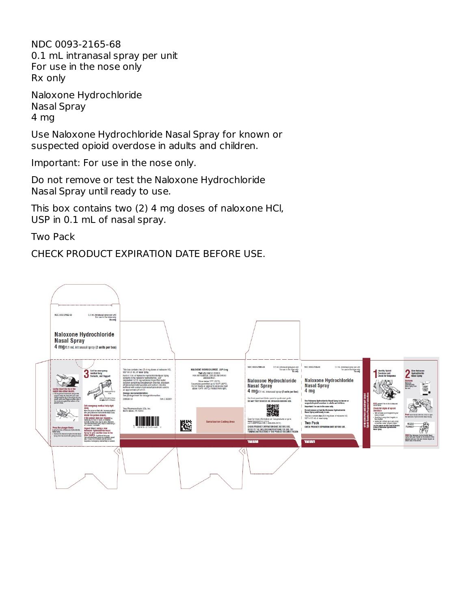NDC 0093-2165-68 0.1 mL intranasal spray per unit For use in the nose only Rx only

Naloxone Hydrochloride Nasal Spray 4 mg

Use Naloxone Hydrochloride Nasal Spray for known or suspected opioid overdose in adults and children.

Important: For use in the nose only.

Do not remove or test the Naloxone Hydrochloride Nasal Spray until ready to use.

This box contains two (2) 4 mg doses of naloxone HCl, USP in 0.1 mL of nasal spray.

Two Pack

CHECK PRODUCT EXPIRATION DATE BEFORE USE.